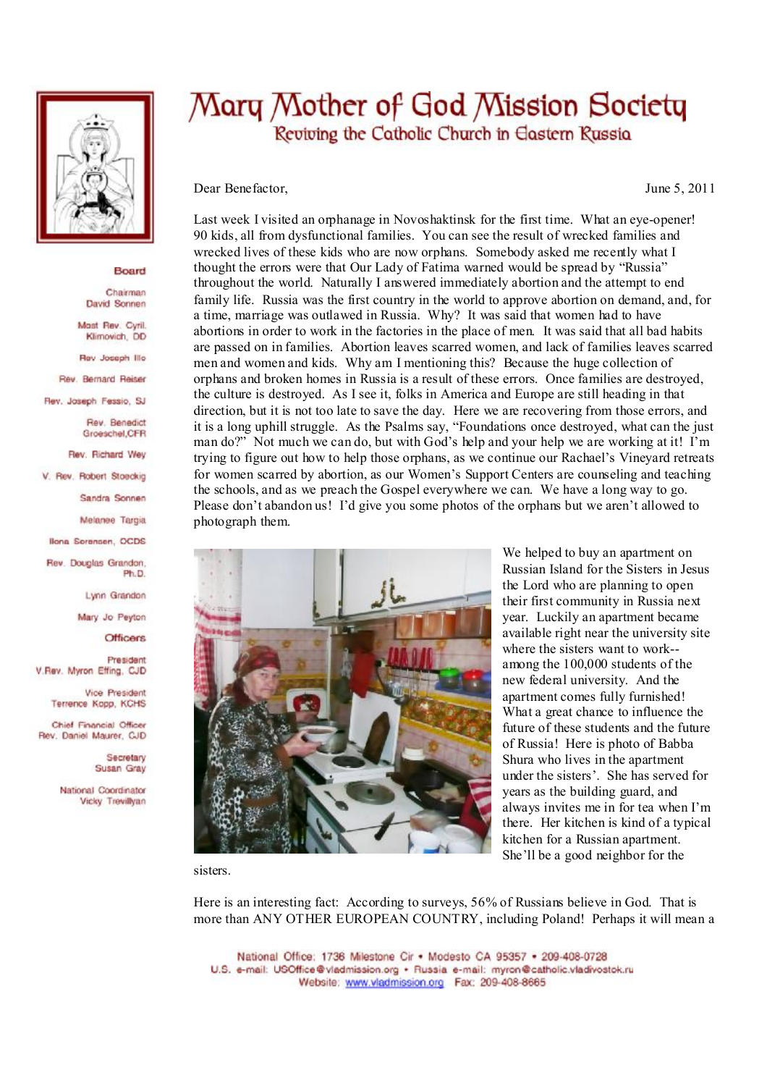

## Board

Chairman David Sonnen

Mast Rev. Cyril. Klimovich, DD

Rev Joseph Illo

Rev. Bernard Reiser

Rev. Joseph Fessio, SJ

Rev. Benedict Groeschel, CFR

Rev. Richard Wey

V. Rev. Robert Stoeckig

Sandra Sonnen

Melanee Targia

Ilona Sorensen, OCDS

Rev. Douglas Grandon. Ph.D

Lynn Grandon

Mary Jo Peyton

**Officers** 

President V.Rev. Myron Effing, CJD

> Vice President Terrence Kopp, KCHS

Chief Financial Officer Rev. Daniel Maurer, CJD

> Secretary Susan Gray

National Coordinator Vicky Trevillvan

## Mary Mother of God Mission Society Reviving the Catholic Church in Eastern Russia

Dear Benefactor,

June 5, 2011

Last week I visited an orphanage in Novoshaktinsk for the first time. What an eve-opener! 90 kids, all from dysfunctional families. You can see the result of wrecked families and wrecked lives of these kids who are now orphans. Somebody asked me recently what I thought the errors were that Our Lady of Fatima warned would be spread by "Russia" throughout the world. Naturally I answered immediately abortion and the attempt to end family life. Russia was the first country in the world to approve abortion on demand, and, for a time, marriage was outlawed in Russia. Why? It was said that women had to have abortions in order to work in the factories in the place of men. It was said that all bad habits are passed on in families. Abortion leaves scarred women, and lack of families leaves scarred men and women and kids. Why am I mentioning this? Because the huge collection of orphans and broken homes in Russia is a result of these errors. Once families are destroved. the culture is destroved. As I see it, folks in America and Europe are still heading in that direction, but it is not too late to save the day. Here we are recovering from those errors, and it is a long uphill struggle. As the Psalms say, "Foundations once destroyed, what can the just man do?" Not much we can do, but with God's help and your help we are working at it! I'm trying to figure out how to help those orphans, as we continue our Rachael's Vineyard retreats for women scarred by abortion, as our Women's Support Centers are counseling and teaching the schools, and as we preach the Gospel everywhere we can. We have a long way to go. Please don't abandon us! I'd give you some photos of the orphans but we aren't allowed to photograph them.



We helped to buy an apartment on Russian Island for the Sisters in Jesus the Lord who are planning to open their first community in Russia next year. Luckily an apartment became available right near the university site where the sisters want to work-among the 100,000 students of the new federal university. And the apartment comes fully furnished! What a great chance to influence the future of these students and the future of Russia! Here is photo of Babba Shura who lives in the apartment under the sisters'. She has served for vears as the building guard, and always invites me in for tea when I'm there. Her kitchen is kind of a typical kitchen for a Russian apartment. She'll be a good neighbor for the

sisters.

Here is an interesting fact: According to surveys, 56% of Russians believe in God. That is more than ANY OTHER EUROPEAN COUNTRY, including Poland! Perhaps it will mean a

National Office: 1736 Milestone Cir . Modesto CA 95357 . 209-408-0728 U.S. e-mail: USOffice@vladmission.org · Russia e-mail: myron@catholic.vladivostok.ru Website: www.vladmission.org Fax: 209-408-8665